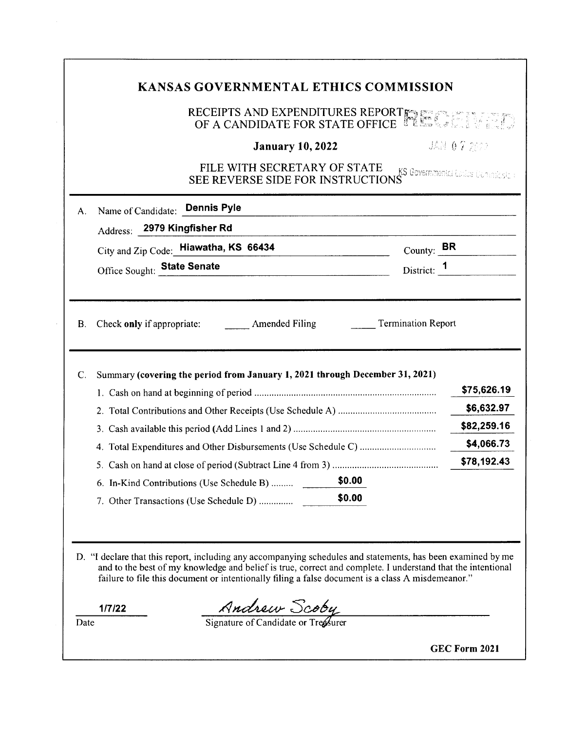# **KANSAS GOVERNMENTAL ETHICS COMMISSION**

#### RECEIPTS AND EXPENDITURES REPORT $_{\mathbb{R}\mathbb{N}}$ OF A CANDIDATE FOR STATE OFFICE **the**

# **January 10, 2022**

JAN 07 2002

| <b>FILE WITH SECRETARY OF STATE KS GOVERNMENT LEASE COMMUNISTIES CONSIDERING THE REVERSE SIDE FOR INSTRUCTIONS</b> |  |
|--------------------------------------------------------------------------------------------------------------------|--|
|                                                                                                                    |  |

| А.        | Name of Candidate: Dennis Pyle<br>Address: 2979 Kingfisher Rd                |        |                           |                                                        |
|-----------|------------------------------------------------------------------------------|--------|---------------------------|--------------------------------------------------------|
|           | City and Zip Code: Hiawatha, KS 66434                                        |        |                           | County: $\mathbf{BR}$                                  |
|           | Office Sought: State Senate                                                  |        | District: 1               |                                                        |
|           | Check only if appropriate: Amended Filing                                    |        | <b>Termination Report</b> |                                                        |
|           |                                                                              |        |                           |                                                        |
| C.        | Summary (covering the period from January 1, 2021 through December 31, 2021) |        |                           |                                                        |
|           |                                                                              |        |                           |                                                        |
|           |                                                                              |        |                           |                                                        |
|           |                                                                              |        |                           |                                                        |
|           |                                                                              |        |                           | \$75,626.19<br>\$6,632.97<br>\$82,259.16<br>\$4,066.73 |
|           |                                                                              |        |                           | \$78,192.43                                            |
| <b>B.</b> | 6. In-Kind Contributions (Use Schedule B)                                    | \$0.00 |                           |                                                        |

D. "I declare that this report, including any accompanying schedules and statements, has been examined by me and to the best of my knowledge and belief is true, correct and complete. I understand that the intentional failure to file this document or intentionally filing a false document is a class A misdemeanor."

**1/7/22** 

 $\frac{1}{\text{Date}}$   $\frac{\text{Index} \text{Sobel}}{\text{Signature of Candidate or Treßurer}}$ 

**GEC Form 2021**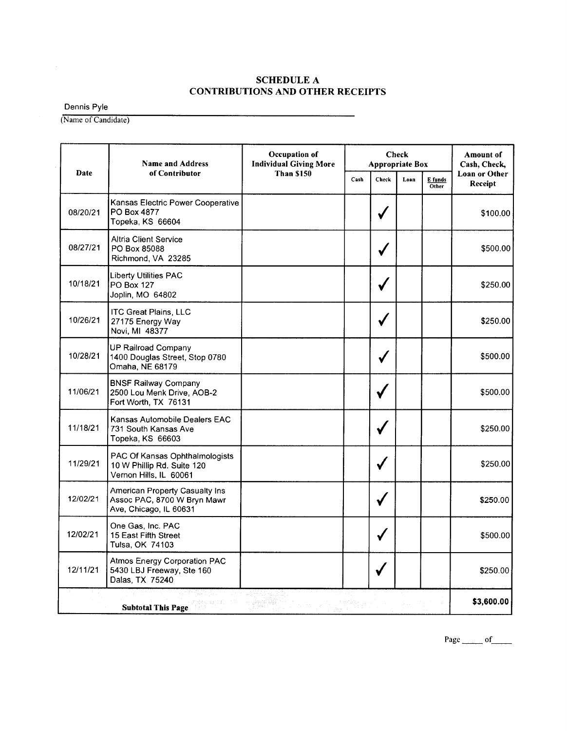## **SCHEDULE A CONTRIBUTIONS AND OTHER RECEIPTS**

Dennis Pyle

 $\mathcal{A}^{\mathcal{A}}$ 

(Name of Candidate)

|          | <b>Name and Address</b>                                                                 | Occupation of<br><b>Individual Giving More</b>                        |  | <b>Check</b><br><b>Appropriate Box</b> |  |  | Amount of<br>Cash, Check, |
|----------|-----------------------------------------------------------------------------------------|-----------------------------------------------------------------------|--|----------------------------------------|--|--|---------------------------|
| Date     | of Contributor                                                                          | <b>Than \$150</b><br><b>Check</b><br>Cash<br>Loan<br>E funds<br>Other |  | Loan or Other<br>Receipt               |  |  |                           |
| 08/20/21 | Kansas Electric Power Cooperative<br>PO Box 4877<br>Topeka, KS 66604                    |                                                                       |  |                                        |  |  | \$100.00                  |
| 08/27/21 | <b>Altria Client Service</b><br>PO Box 85088<br>Richmond, VA 23285                      |                                                                       |  |                                        |  |  | \$500.00                  |
| 10/18/21 | <b>Liberty Utilities PAC</b><br><b>PO Box 127</b><br>Joplin, MO 64802                   |                                                                       |  |                                        |  |  | \$250.00                  |
| 10/26/21 | <b>ITC Great Plains, LLC</b><br>27175 Energy Way<br>Novi, MI 48377                      |                                                                       |  | √                                      |  |  | \$250.00                  |
| 10/28/21 | UP Railroad Company<br>1400 Douglas Street, Stop 0780<br>Omaha, NE 68179                |                                                                       |  |                                        |  |  | \$500.00                  |
| 11/06/21 | <b>BNSF Railway Company</b><br>2500 Lou Menk Drive, AOB-2<br>Fort Worth, TX 76131       |                                                                       |  |                                        |  |  | \$500.00                  |
| 11/18/21 | Kansas Automobile Dealers EAC<br>731 South Kansas Ave<br>Topeka, KS 66603               |                                                                       |  |                                        |  |  | \$250.00                  |
| 11/29/21 | PAC Of Kansas Ophthalmologists<br>10 W Phillip Rd. Suite 120<br>Vernon Hills, IL 60061  |                                                                       |  |                                        |  |  | \$250.00                  |
| 12/02/21 | American Property Casualty Ins<br>Assoc PAC, 8700 W Bryn Mawr<br>Ave, Chicago, IL 60631 |                                                                       |  |                                        |  |  | \$250.00                  |
| 12/02/21 | One Gas, Inc. PAC<br>15 East Fifth Street<br>Tulsa, OK 74103                            |                                                                       |  |                                        |  |  | \$500.00                  |
| 12/11/21 | <b>Atmos Energy Corporation PAC</b><br>5430 LBJ Freeway, Ste 160<br>Dalas, TX 75240     |                                                                       |  |                                        |  |  | \$250.00                  |
|          | <b>Subtotal This Page</b>                                                               |                                                                       |  |                                        |  |  | \$3,600.00                |

Page  $\qquad$  of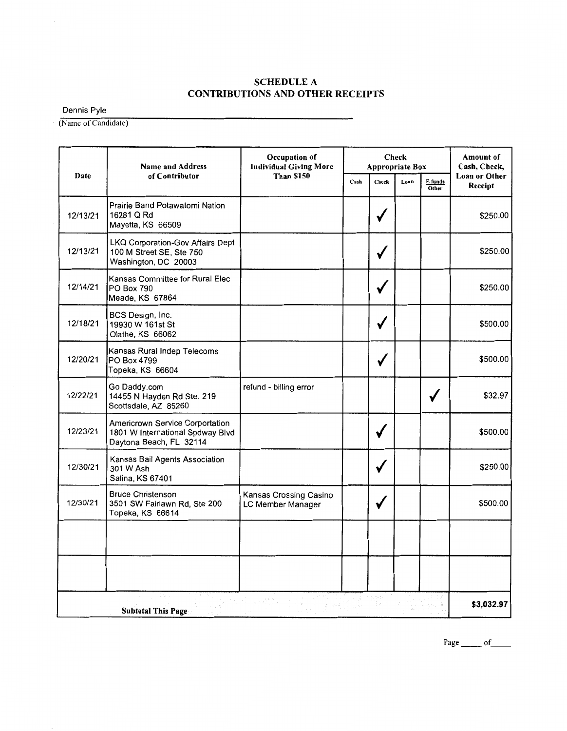# **SCHEDULE A CONTRIBUTIONS AND OTHER RECEIPTS**

Dennis Pyle

 $\bar{z}$ 

(Name of Candidate)

|          | <b>Name and Address</b>                                                                        | Occupation of<br><b>Individual Giving More</b><br><b>Than \$150</b> | <b>Check</b><br><b>Appropriate Box</b> |                                   |  | Amount of<br>Cash, Check, |            |
|----------|------------------------------------------------------------------------------------------------|---------------------------------------------------------------------|----------------------------------------|-----------------------------------|--|---------------------------|------------|
| Date     | of Contributor                                                                                 |                                                                     | Cash                                   | Check<br>Loan<br>E funds<br>Other |  | Loan or Other<br>Receipt  |            |
| 12/13/21 | Prairie Band Potawatomi Nation<br>16281 Q Rd<br>Mayetta, KS 66509                              |                                                                     |                                        | ✔                                 |  |                           | \$250.00   |
| 12/13/21 | LKQ Corporation-Gov Affairs Dept<br>100 M Street SE, Ste 750<br>Washington, DC 20003           |                                                                     |                                        |                                   |  |                           | \$250.00   |
| 12/14/21 | Kansas Committee for Rural Elec<br>PO Box 790<br>Meade, KS 67864                               |                                                                     |                                        |                                   |  |                           | \$250.00   |
| 12/18/21 | BCS Design, Inc.<br>19930 W 161st St<br>Olathe, KS 66062                                       |                                                                     |                                        | $\checkmark$                      |  |                           | \$500.00   |
| 12/20/21 | Kansas Rural Indep Telecoms<br>PO Box 4799<br>Topeka, KS 66604                                 |                                                                     |                                        |                                   |  |                           | \$500.00   |
| 12/22/21 | Go Daddy.com<br>14455 N Hayden Rd Ste. 219<br>Scottsdale, AZ 85260                             | refund - billing error                                              |                                        |                                   |  |                           | \$32.97    |
| 12/23/21 | Americrown Service Corportation<br>1801 W International Spdway Blvd<br>Daytona Beach, FL 32114 |                                                                     |                                        |                                   |  |                           | \$500.00   |
| 12/30/21 | Kansas Bail Agents Association<br>301 W Ash<br>Salina, KS 67401                                |                                                                     |                                        |                                   |  |                           | \$250.00   |
| 12/30/21 | <b>Bruce Christenson</b><br>3501 SW Fairlawn Rd, Ste 200<br>Topeka, KS 66614                   | Kansas Crossing Casino<br>LC Member Manager                         |                                        | $\checkmark$                      |  |                           | \$500.00   |
|          |                                                                                                |                                                                     |                                        |                                   |  |                           |            |
|          |                                                                                                |                                                                     |                                        |                                   |  |                           |            |
|          | <b>Subtotal This Page</b>                                                                      | -9. <sup>s a</sup><br>ú, sk                                         |                                        | 논문                                |  |                           | \$3,032.97 |

Page  $\rule{1em}{0.15mm}$  of  $\rule{1.5mm}{0.15mm}$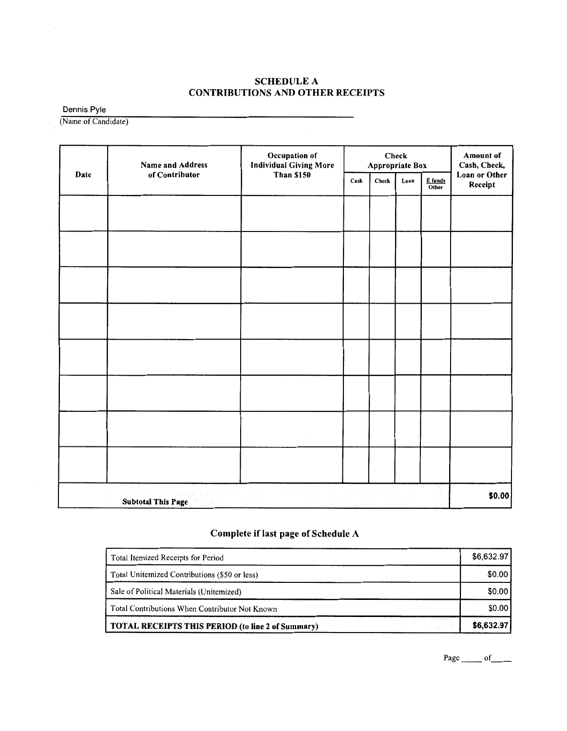## SCHEDULE A CONTRIBUTIONS AND OTHER RECEIPTS

Dennis Pyle

(Name of Candidate)

|      | Name and Address          | Occupation of<br><b>Individual Giving More</b> | Check<br>Appropriate Box |       |      |                  | <b>Amount of</b><br>Cash, Check, |
|------|---------------------------|------------------------------------------------|--------------------------|-------|------|------------------|----------------------------------|
| Date | of Contributor            | <b>Than \$150</b>                              |                          | Check | Loan | E funds<br>Other | Loan or Other<br>Receipt         |
|      |                           |                                                |                          |       |      |                  |                                  |
|      |                           |                                                |                          |       |      |                  |                                  |
|      |                           |                                                |                          |       |      |                  |                                  |
|      |                           |                                                |                          |       |      |                  |                                  |
|      |                           |                                                |                          |       |      |                  |                                  |
|      |                           |                                                |                          |       |      |                  |                                  |
|      |                           |                                                |                          |       |      |                  |                                  |
|      |                           |                                                |                          |       |      |                  |                                  |
|      |                           |                                                |                          |       |      |                  |                                  |
|      | <b>Subtotal This Page</b> |                                                |                          |       |      |                  | \$0.00                           |

# **Complete if last page of Schedule A**

| TOTAL RECEIPTS THIS PERIOD (to line 2 of Summary) | \$6,632.97 |
|---------------------------------------------------|------------|
| Total Contributions When Contributor Not Known    | \$0.00     |
| Sale of Political Materials (Unitemized)          | \$0.00     |
| Total Unitemized Contributions (\$50 or less)     | \$0.00     |
| Total Itemized Receipts for Period                | \$6,632.97 |

Page \_\_\_\_\_\_ of \_\_\_\_\_\_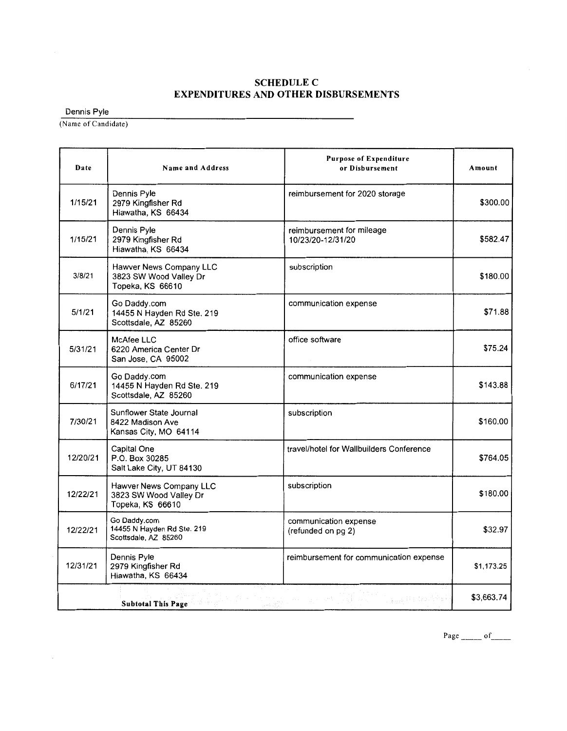#### **SCHEDULEC EXPENDITURES AND OTHER DISBURSEMENTS**

Dennis Pyle

(Name of Candidate)

| Date     | Name and Address                                                      | <b>Purpose of Expenditure</b><br>or Disbursement                   | Amount     |
|----------|-----------------------------------------------------------------------|--------------------------------------------------------------------|------------|
| 1/15/21  | Dennis Pyle<br>2979 Kingfisher Rd<br>Hiawatha, KS 66434               | reimbursement for 2020 storage                                     | \$300.00   |
| 1/15/21  | Dennis Pyle<br>2979 Kingfisher Rd<br>Hiawatha, KS 66434               | reimbursement for mileage<br>10/23/20-12/31/20                     | \$582.47   |
| 3/8/21   | Hawver News Company LLC<br>3823 SW Wood Valley Dr<br>Topeka, KS 66610 | subscription                                                       | \$180.00   |
| 5/1/21   | Go Daddy.com<br>14455 N Hayden Rd Ste. 219<br>Scottsdale, AZ 85260    | communication expense                                              | \$71.88    |
| 5/31/21  | <b>McAfee LLC</b><br>6220 America Center Dr<br>San Jose, CA 95002     | office software                                                    | \$75.24    |
| 6/17/21  | Go Daddy.com<br>14455 N Hayden Rd Ste. 219<br>Scottsdale, AZ 85260    | communication expense                                              | \$143.88   |
| 7/30/21  | Sunflower State Journal<br>8422 Madison Ave<br>Kansas City, MO 64114  | subscription                                                       | \$160.00   |
| 12/20/21 | Capital One<br>P.O. Box 30285<br>Salt Lake City, UT 84130             | travel/hotel for Wallbuilders Conference                           | \$764.05   |
| 12/22/21 | Hawver News Company LLC<br>3823 SW Wood Valley Dr<br>Topeka, KS 66610 | subscription                                                       | \$180.00   |
| 12/22/21 | Go Daddy.com<br>14455 N Hayden Rd Ste. 219<br>Scottsdale, AZ 85260    | communication expense<br>(refunded on pg 2)                        | \$32.97    |
| 12/31/21 | Dennis Pyle<br>2979 Kingfisher Rd<br>Hiawatha, KS 66434               | reimbursement for communication expense                            | \$1,173.25 |
|          | <b>Subtotal This Page</b>                                             | [시] 12 - 10 - 20 - 20 - 20 - 20 - 20 -<br><b>Cappell</b> Education | \$3,663.74 |

Page \_\_\_\_ of \_\_ \_